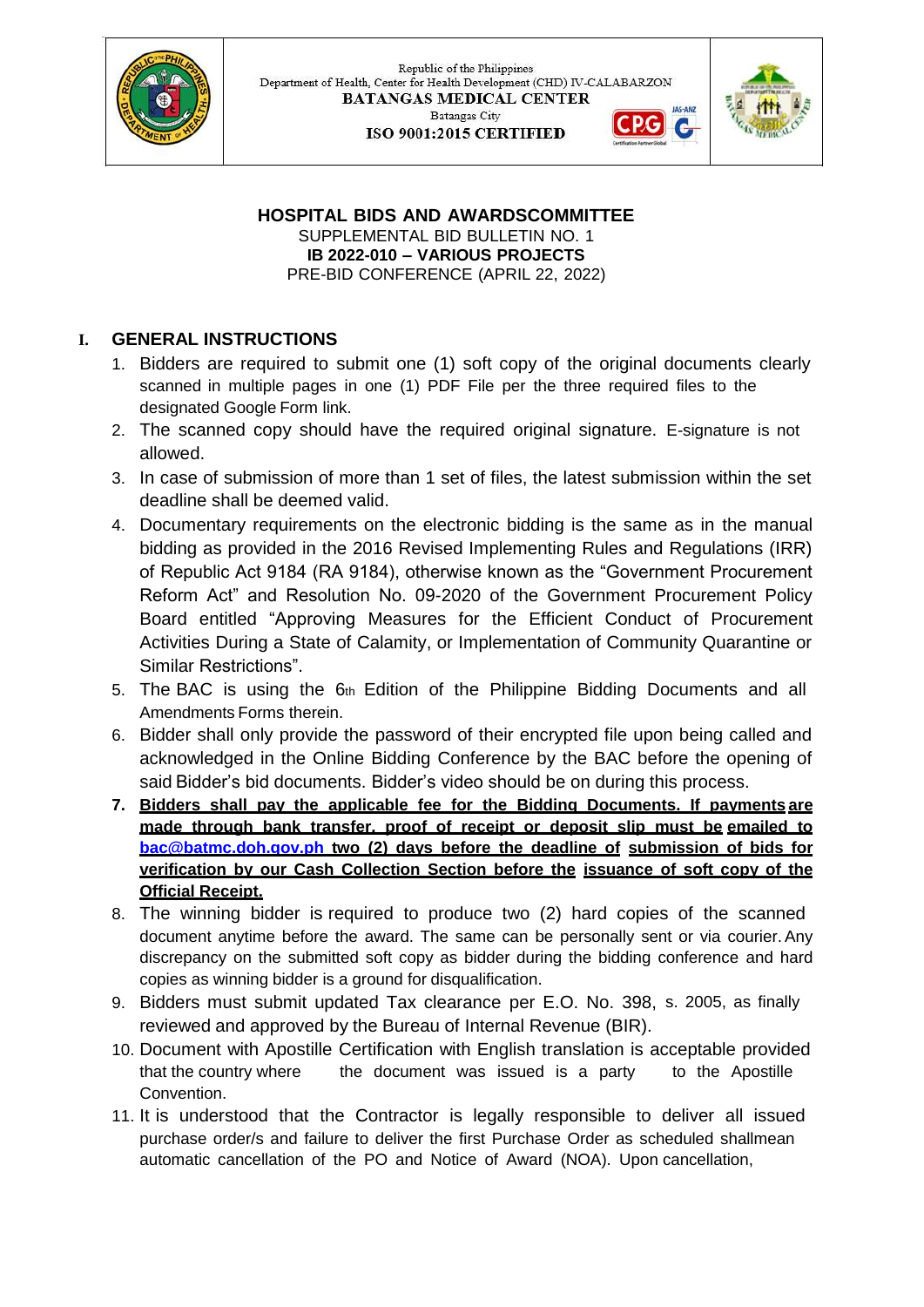

Republic of the Philippines Department of Health, Center for Health Development (CHD) IV-CALABARZON **BATANGAS MEDICAL CENTER** JAS-ANZ **Batangas City** C. ISO 9001:2015 CERTIFIED



**HOSPITAL BIDS AND AWARDSCOMMITTEE** SUPPLEMENTAL BID BULLETIN NO. 1 **IB 2022-010 – VARIOUS PROJECTS** PRE-BID CONFERENCE (APRIL 22, 2022)

# **I. GENERAL INSTRUCTIONS**

- 1. Bidders are required to submit one (1) soft copy of the original documents clearly scanned in multiple pages in one (1) PDF File per the three required files to the designated Google Form link.
- 2. The scanned copy should have the required original signature. E-signature is not allowed.
- 3. In case of submission of more than 1 set of files, the latest submission within the set deadline shall be deemed valid.
- 4. Documentary requirements on the electronic bidding is the same as in the manual bidding as provided in the 2016 Revised Implementing Rules and Regulations (IRR) of Republic Act 9184 (RA 9184), otherwise known as the "Government Procurement Reform Act" and Resolution No. 09-2020 of the Government Procurement Policy Board entitled "Approving Measures for the Efficient Conduct of Procurement Activities During a State of Calamity, or Implementation of Community Quarantine or Similar Restrictions".
- 5. The BAC is using the 6th Edition of the Philippine Bidding Documents and all Amendments Forms therein.
- 6. Bidder shall only provide the password of their encrypted file upon being called and acknowledged in the Online Bidding Conference by the BAC before the opening of said Bidder's bid documents. Bidder's video should be on during this process.
- **7. Bidders shall pay the applicable fee for the Bidding Documents. If payments are made through bank transfer, proof of receipt or deposit slip must be [emailed](mailto:emailedtobac@batmc.doh.gov.ph) to [bac@batmc.doh.gov.ph](mailto:emailedtobac@batmc.doh.gov.ph) two (2) days before the deadline of submission of bids for verification by our Cash Collection Section before the issuance of soft copy of the Official Receipt.**
- 8. The winning bidder is required to produce two (2) hard copies of the scanned document anytime before the award. The same can be personally sent or via courier.Any discrepancy on the submitted soft copy as bidder during the bidding conference and hard copies as winning bidder is a ground for disqualification.
- 9. Bidders must submit updated Tax clearance per E.O. No. 398, s. 2005, as finally reviewed and approved by the Bureau of Internal Revenue (BIR).
- 10. Document with Apostille Certification with English translation is acceptable provided that the country where Convention. the document was issued is a party to the Apostille
- 11. It is understood that the Contractor is legally responsible to deliver all issued purchase order/s and failure to deliver the first Purchase Order as scheduled shallmean automatic cancellation of the PO and Notice of Award (NOA). Upon cancellation,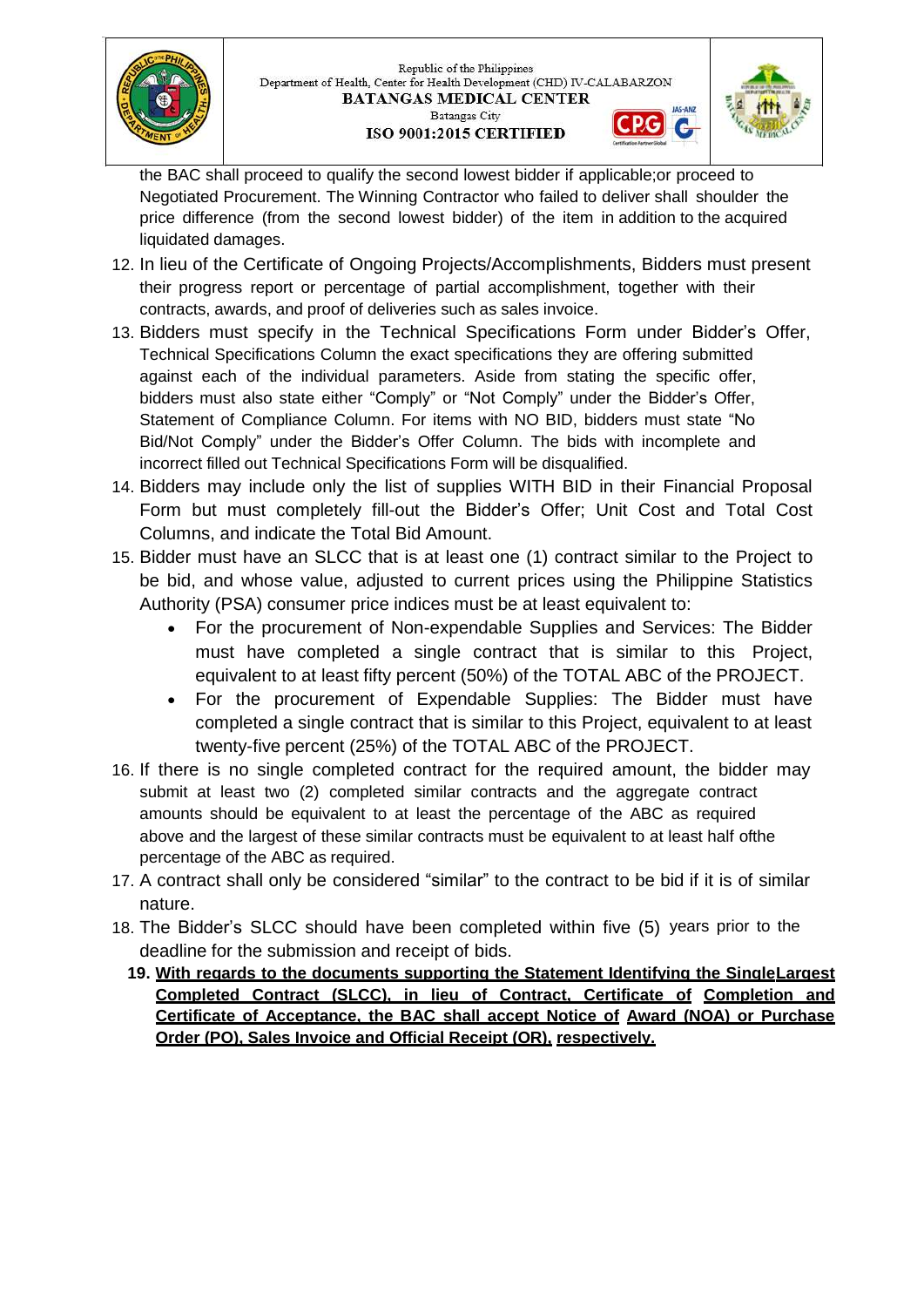



the BAC shall proceed to qualify the second lowest bidder if applicable;or proceed to Negotiated Procurement. The Winning Contractor who failed to deliver shall shoulder the price difference (from the second lowest bidder) of the item in addition to the acquired liquidated damages.

- 12. In lieu of the Certificate of Ongoing Projects/Accomplishments, Bidders must present their progress report or percentage of partial accomplishment, together with their contracts, awards, and proof of deliveries such as sales invoice.
- 13. Bidders must specify in the Technical Specifications Form under Bidder's Offer, Technical Specifications Column the exact specifications they are offering submitted against each of the individual parameters. Aside from stating the specific offer, bidders must also state either "Comply" or "Not Comply" under the Bidder's Offer, Statement of Compliance Column. For items with NO BID, bidders must state "No Bid/Not Comply" under the Bidder's Offer Column. The bids with incomplete and incorrect filled out Technical Specifications Form will be disqualified.
- 14. Bidders may include only the list of supplies WITH BID in their Financial Proposal Form but must completely fill-out the Bidder's Offer; Unit Cost and Total Cost Columns, and indicate the Total Bid Amount.
- 15. Bidder must have an SLCC that is at least one (1) contract similar to the Project to be bid, and whose value, adjusted to current prices using the Philippine Statistics Authority (PSA) consumer price indices must be at least equivalent to:
	- For the procurement of Non-expendable Supplies and Services: The Bidder must have completed a single contract that is similar to this Project, equivalent to at least fifty percent (50%) of the TOTAL ABC of the PROJECT.
	- For the procurement of Expendable Supplies: The Bidder must have completed a single contract that is similar to this Project, equivalent to at least twenty-five percent (25%) of the TOTAL ABC of the PROJECT.
- 16. If there is no single completed contract for the required amount, the bidder may submit at least two (2) completed similar contracts and the aggregate contract amounts should be equivalent to at least the percentage of the ABC as required above and the largest of these similar contracts must be equivalent to at least half ofthe percentage of the ABC as required.
- 17. A contract shall only be considered "similar" to the contract to be bid if it is of similar nature.
- 18. The Bidder's SLCC should have been completed within five (5) years prior to the deadline for the submission and receipt of bids.
	- **19. With regards to the documents supporting the Statement Identifying the SingleLargest Completed Contract (SLCC), in lieu of Contract, Certificate of Completion and Certificate of Acceptance, the BAC shall accept Notice of Award (NOA) or Purchase Order (PO), Sales Invoice and Official Receipt (OR), respectively.**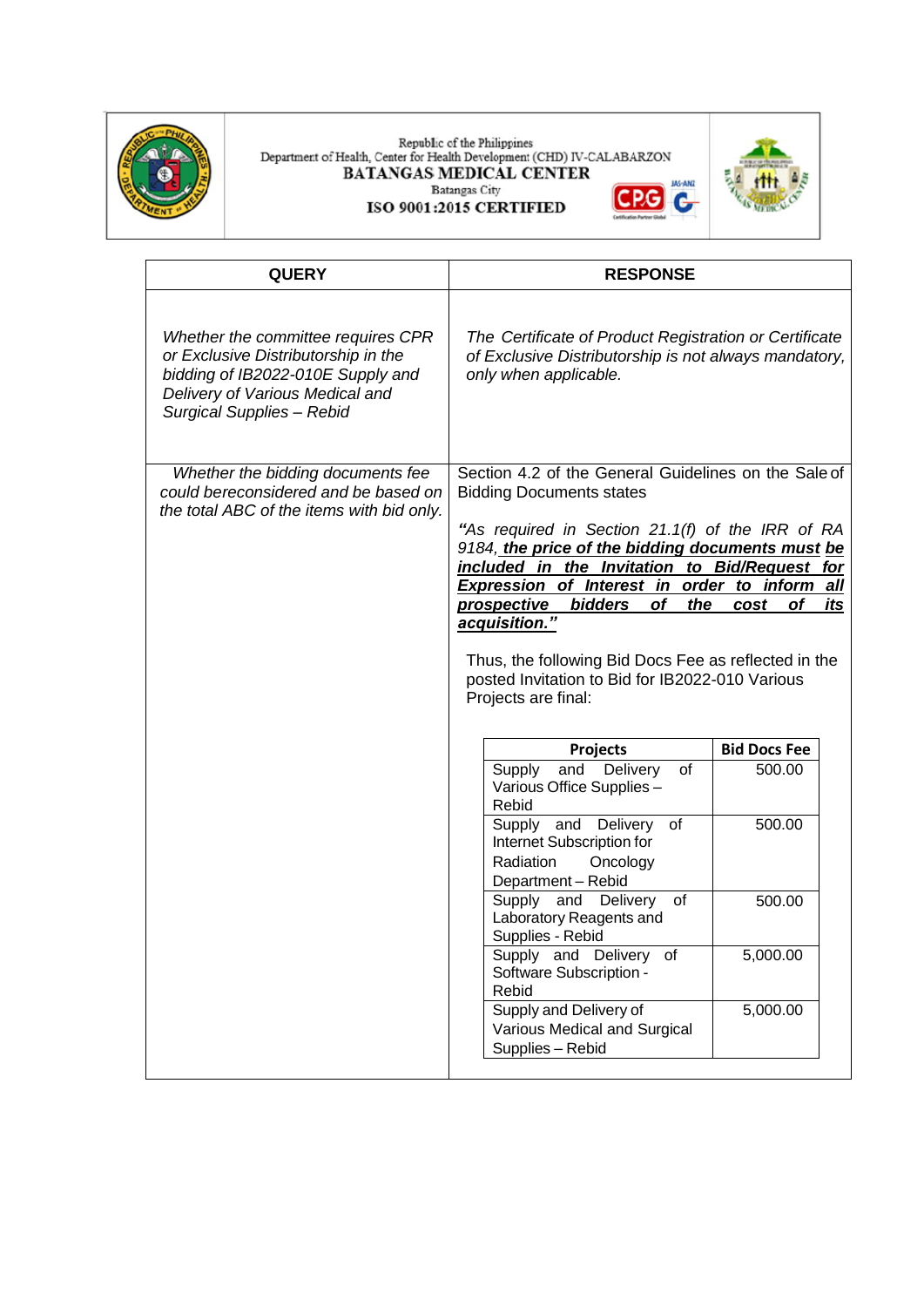

#### Republic of the Philippines<br>Department of Health, Center for Health Development (CHD) IV-CALABARZON<br>BATANGAS MEDICAL CENTER **JAS-ANZ** Batangas City **CPG** G ISO 9001:2015 CERTIFIED



| <b>QUERY</b>                                                                                                                                                                   | <b>RESPONSE</b>                                                                                                                                                                                                                                                                                                                                                                                                                                                                                                                   |                     |  |
|--------------------------------------------------------------------------------------------------------------------------------------------------------------------------------|-----------------------------------------------------------------------------------------------------------------------------------------------------------------------------------------------------------------------------------------------------------------------------------------------------------------------------------------------------------------------------------------------------------------------------------------------------------------------------------------------------------------------------------|---------------------|--|
| Whether the committee requires CPR<br>or Exclusive Distributorship in the<br>bidding of IB2022-010E Supply and<br>Delivery of Various Medical and<br>Surgical Supplies - Rebid | The Certificate of Product Registration or Certificate<br>of Exclusive Distributorship is not always mandatory,<br>only when applicable.                                                                                                                                                                                                                                                                                                                                                                                          |                     |  |
| Whether the bidding documents fee<br>could bereconsidered and be based on<br>the total ABC of the items with bid only.                                                         | Section 4.2 of the General Guidelines on the Sale of<br><b>Bidding Documents states</b><br>"As required in Section 21.1(f) of the IRR of RA<br>9184, the price of the bidding documents must be<br>included in the Invitation to Bid/Request for<br>Expression of Interest in order to inform<br>all<br><b>bidders</b><br>of<br>its<br>the<br><b>prospective</b><br>of<br>cost<br>acquisition."<br>Thus, the following Bid Docs Fee as reflected in the<br>posted Invitation to Bid for IB2022-010 Various<br>Projects are final: |                     |  |
|                                                                                                                                                                                |                                                                                                                                                                                                                                                                                                                                                                                                                                                                                                                                   | <b>Bid Docs Fee</b> |  |
|                                                                                                                                                                                | Projects<br>Delivery<br>Supply<br>and<br>of<br>Various Office Supplies -<br>Rebid                                                                                                                                                                                                                                                                                                                                                                                                                                                 | 500.00              |  |
|                                                                                                                                                                                | Supply and<br>Delivery<br>of<br>Internet Subscription for<br>Radiation<br>Oncology<br>Department - Rebid                                                                                                                                                                                                                                                                                                                                                                                                                          | 500.00              |  |
|                                                                                                                                                                                | of<br>Supply and Delivery<br>Laboratory Reagents and<br>Supplies - Rebid                                                                                                                                                                                                                                                                                                                                                                                                                                                          | 500.00              |  |
|                                                                                                                                                                                | Supply and Delivery<br>0t<br>Software Subscription -<br>Rebid                                                                                                                                                                                                                                                                                                                                                                                                                                                                     | 5,000.00            |  |
|                                                                                                                                                                                | Supply and Delivery of<br>Various Medical and Surgical<br>Supplies - Rebid                                                                                                                                                                                                                                                                                                                                                                                                                                                        | 5,000.00            |  |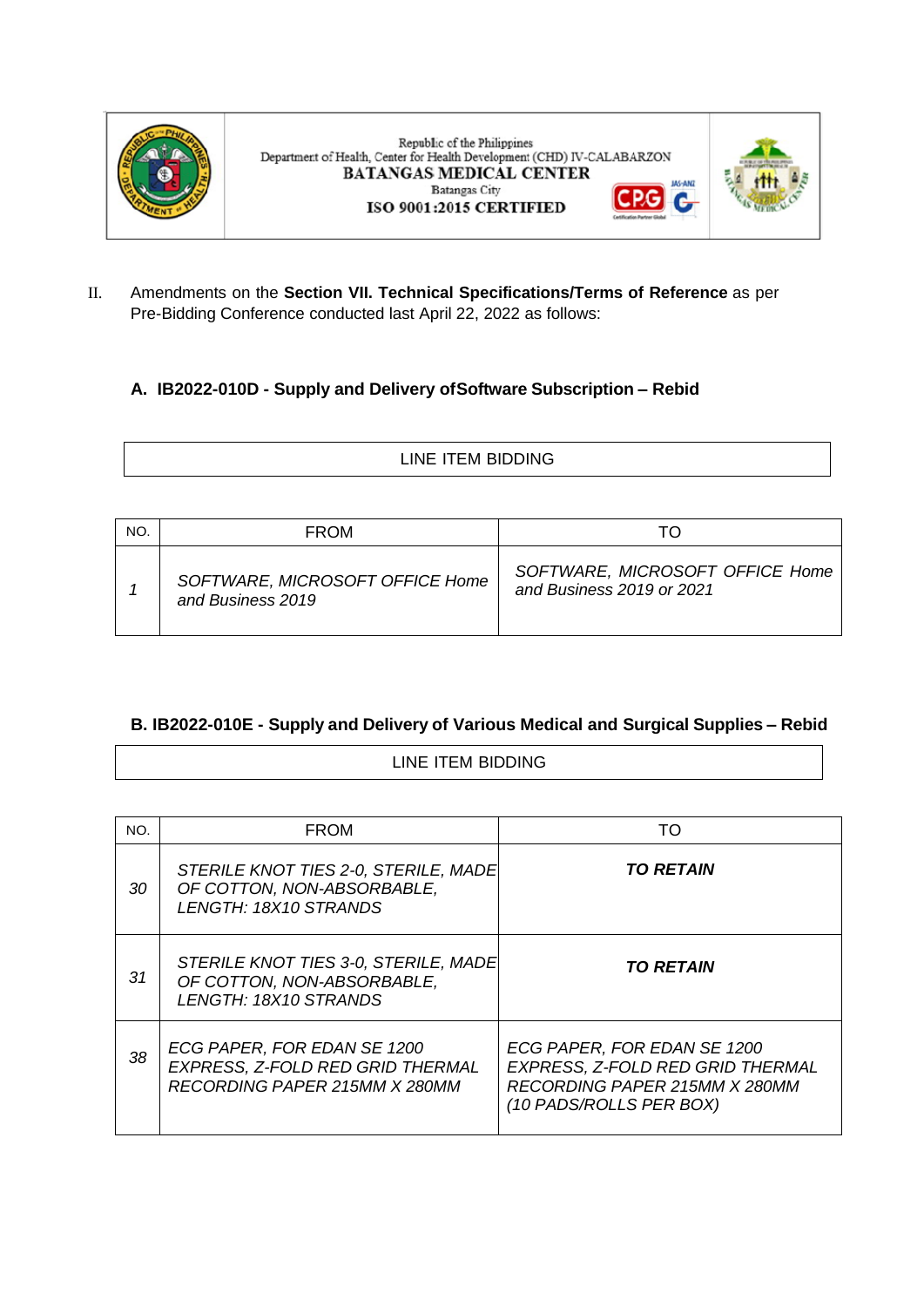

Republic of the Philippines Department of Health, Center for Health Development (CHD) IV-CALABARZON **BATANGAS MEDICAL CENTER Batangas City** ISO 9001:2015 CERTIFIED



**JAS-ANG** 

G

II. Amendments on the **Section VII. Technical Specifications/Terms of Reference** as per Pre-Bidding Conference conducted last April 22, 2022 as follows:

### **A. IB2022-010D - Supply and Delivery ofSoftware Subscription – Rebid**

| $\sim$<br>$\check{ }$<br>_________ |
|------------------------------------|
|                                    |

| NO. | <b>FROM</b>                                          |                                                              |
|-----|------------------------------------------------------|--------------------------------------------------------------|
|     | SOFTWARE, MICROSOFT OFFICE Home<br>and Business 2019 | SOFTWARE, MICROSOFT OFFICE Home<br>and Business 2019 or 2021 |

## **B. IB2022-010E - Supply and Delivery of Various Medical and Surgical Supplies – Rebid**

#### LINE ITEM BIDDING

| NO. | <b>FROM</b>                                                                                      | TO                                                                                                                          |
|-----|--------------------------------------------------------------------------------------------------|-----------------------------------------------------------------------------------------------------------------------------|
| 30  | STERILE KNOT TIES 2-0, STERILE, MADE<br>OF COTTON, NON-ABSORBABLE,<br>LENGTH: 18X10 STRANDS      | <b>TO RETAIN</b>                                                                                                            |
| 31  | STERILE KNOT TIES 3-0, STERILE, MADE<br>OF COTTON, NON-ABSORBABLE,<br>LENGTH: 18X10 STRANDS      | <b>TO RETAIN</b>                                                                                                            |
| 38  | ECG PAPER, FOR EDAN SE 1200<br>EXPRESS, Z-FOLD RED GRID THERMAL<br>RECORDING PAPER 215MM X 280MM | ECG PAPER, FOR EDAN SE 1200<br>EXPRESS, Z-FOLD RED GRID THERMAL<br>RECORDING PAPER 215MM X 280MM<br>(10 PADS/ROLLS PER BOX) |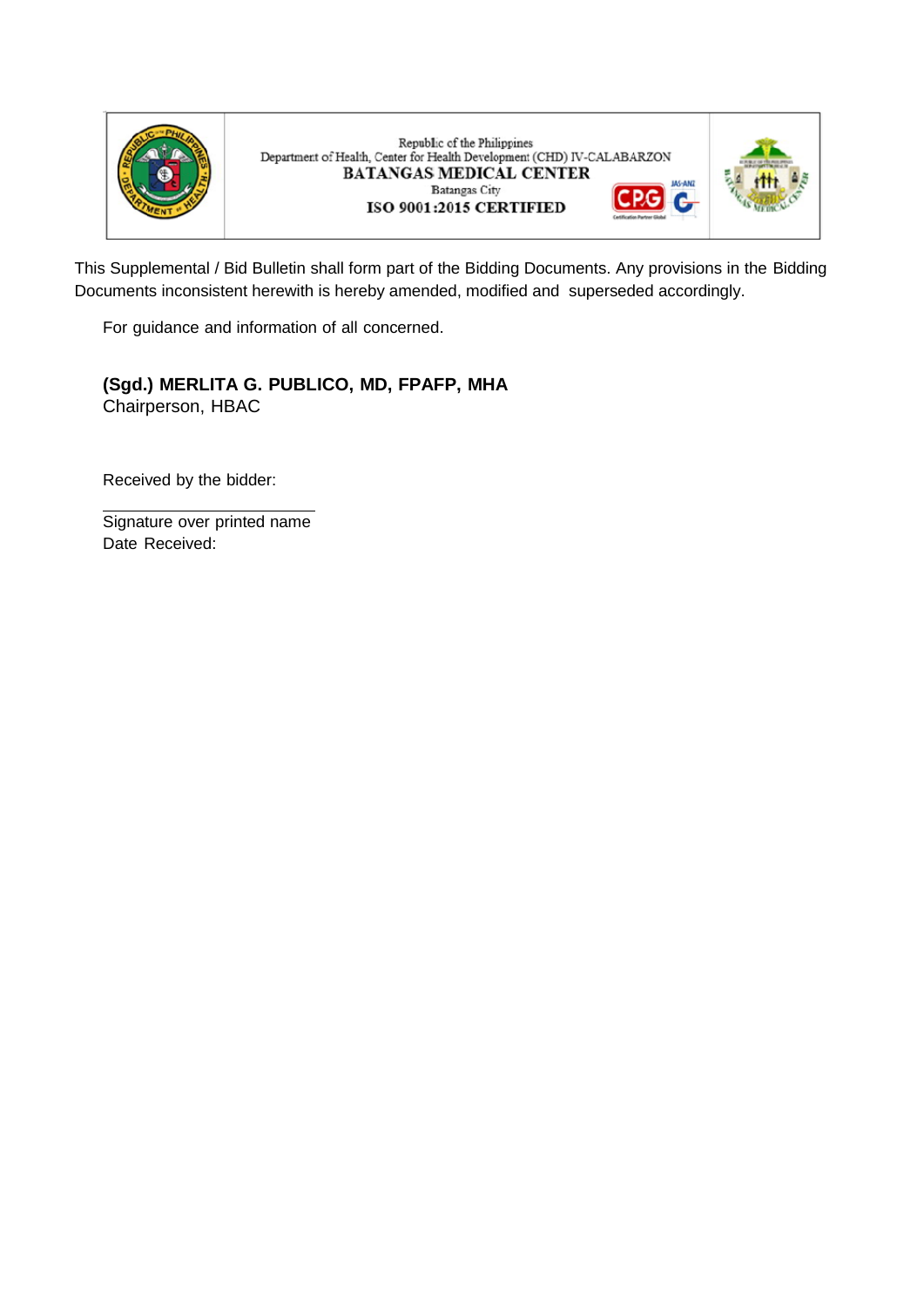

Republic of the Philippines Department of Health, Center for Health Development (CHD) IV-CALABARZON **BATANGAS MEDICAL CENTER** JAS-ANZ **Batangas City** G ISO 9001:2015 CERTIFIED



This Supplemental / Bid Bulletin shall form part of the Bidding Documents. Any provisions in the Bidding Documents inconsistent herewith is hereby amended, modified and superseded accordingly.

For guidance and information of all concerned.

**(Sgd.) MERLITA G. PUBLICO, MD, FPAFP, MHA** Chairperson, HBAC

Received by the bidder:

Signature over printed name Date Received: